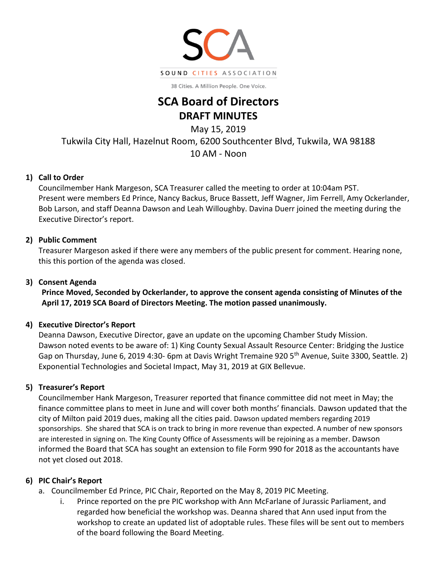

38 Cities. A Million People. One Voice.

# **SCA Board of Directors DRAFT MINUTES**

May 15, 2019

Tukwila City Hall, Hazelnut Room, 6200 Southcenter Blvd, Tukwila, WA 98188

10 AM - Noon

#### **1) Call to Order**

Councilmember Hank Margeson, SCA Treasurer called the meeting to order at 10:04am PST. Present were members Ed Prince, Nancy Backus, Bruce Bassett, Jeff Wagner, Jim Ferrell, Amy Ockerlander, Bob Larson, and staff Deanna Dawson and Leah Willoughby. Davina Duerr joined the meeting during the Executive Director's report.

#### **2) Public Comment**

Treasurer Margeson asked if there were any members of the public present for comment. Hearing none, this this portion of the agenda was closed.

#### **3) Consent Agenda**

**Prince Moved, Seconded by Ockerlander, to approve the consent agenda consisting of Minutes of the April 17, 2019 SCA Board of Directors Meeting. The motion passed unanimously.**

#### **4) Executive Director's Report**

Deanna Dawson, Executive Director, gave an update on the upcoming Chamber Study Mission. Dawson noted events to be aware of: 1) King County Sexual Assault Resource Center: Bridging the Justice Gap on Thursday, June 6, 2019 4:30- 6pm at Davis Wright Tremaine 920 5th Avenue, Suite 3300, Seattle*.* 2) Exponential Technologies and Societal Impact, May 31, 2019 at GIX Bellevue.

# **5) Treasurer's Report**

Councilmember Hank Margeson, Treasurer reported that finance committee did not meet in May; the finance committee plans to meet in June and will cover both months' financials. Dawson updated that the city of Milton paid 2019 dues, making all the cities paid. Dawson updated members regarding 2019 sponsorships. She shared that SCA is on track to bring in more revenue than expected. A number of new sponsors are interested in signing on. The King County Office of Assessments will be rejoining as a member. Dawson informed the Board that SCA has sought an extension to file Form 990 for 2018 as the accountants have not yet closed out 2018.

#### **6) PIC Chair's Report**

- a. Councilmember Ed Prince, PIC Chair, Reported on the May 8, 2019 PIC Meeting.
	- i. Prince reported on the pre PIC workshop with Ann McFarlane of Jurassic Parliament, and regarded how beneficial the workshop was. Deanna shared that Ann used input from the workshop to create an updated list of adoptable rules. These files will be sent out to members of the board following the Board Meeting.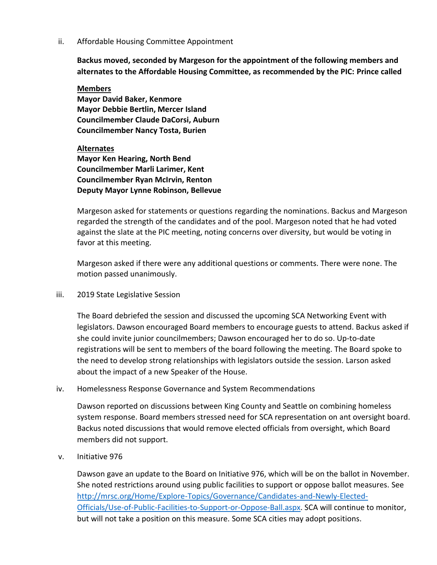ii. Affordable Housing Committee Appointment

**Backus moved, seconded by Margeson for the appointment of the following members and alternates to the Affordable Housing Committee, as recommended by the PIC: Prince called** 

**Members Mayor David Baker, Kenmore Mayor Debbie Bertlin, Mercer Island Councilmember Claude DaCorsi, Auburn Councilmember Nancy Tosta, Burien**

#### **Alternates**

**Mayor Ken Hearing, North Bend Councilmember Marli Larimer, Kent Councilmember Ryan McIrvin, Renton Deputy Mayor Lynne Robinson, Bellevue**

Margeson asked for statements or questions regarding the nominations. Backus and Margeson regarded the strength of the candidates and of the pool. Margeson noted that he had voted against the slate at the PIC meeting, noting concerns over diversity, but would be voting in favor at this meeting.

Margeson asked if there were any additional questions or comments. There were none. The motion passed unanimously.

iii. 2019 State Legislative Session

The Board debriefed the session and discussed the upcoming SCA Networking Event with legislators. Dawson encouraged Board members to encourage guests to attend. Backus asked if she could invite junior councilmembers; Dawson encouraged her to do so. Up-to-date registrations will be sent to members of the board following the meeting. The Board spoke to the need to develop strong relationships with legislators outside the session. Larson asked about the impact of a new Speaker of the House.

iv. Homelessness Response Governance and System Recommendations

Dawson reported on discussions between King County and Seattle on combining homeless system response. Board members stressed need for SCA representation on ant oversight board. Backus noted discussions that would remove elected officials from oversight, which Board members did not support.

v. Initiative 976

Dawson gave an update to the Board on Initiative 976, which will be on the ballot in November. She noted restrictions around using public facilities to support or oppose ballot measures. See [http://mrsc.org/Home/Explore-Topics/Governance/Candidates-and-Newly-Elected-](http://mrsc.org/Home/Explore-Topics/Governance/Candidates-and-Newly-Elected-Officials/Use-of-Public-Facilities-to-Support-or-Oppose-Ball.aspx)[Officials/Use-of-Public-Facilities-to-Support-or-Oppose-Ball.aspx.](http://mrsc.org/Home/Explore-Topics/Governance/Candidates-and-Newly-Elected-Officials/Use-of-Public-Facilities-to-Support-or-Oppose-Ball.aspx) SCA will continue to monitor, but will not take a position on this measure. Some SCA cities may adopt positions.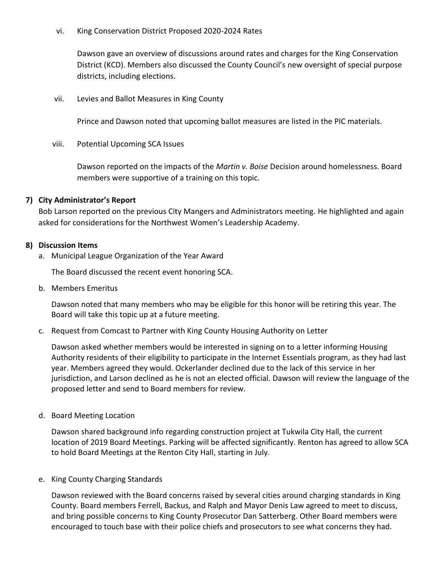vi. King Conservation District Proposed 2020-2024 Rates

Dawson gave an overview of discussions around rates and charges for the King Conservation District (KCD). Members also discussed the County Council's new oversight of special purpose districts, including elections.

vii. Levies and Ballot Measures in King County

Prince and Dawson noted that upcoming ballot measures are listed in the PIC materials.

viii. Potential Upcoming SCA Issues

Dawson reported on the impacts of the *Martin v. Boise* Decision around homelessness. Board members were supportive of a training on this topic.

#### **7) City Administrator's Report**

Bob Larson reported on the previous City Mangers and Administrators meeting. He highlighted and again asked for considerations for the Northwest Women's Leadership Academy.

#### **8) Discussion Items**

a. Municipal League Organization of the Year Award

The Board discussed the recent event honoring SCA.

b. Members Emeritus

Dawson noted that many members who may be eligible for this honor will be retiring this year. The Board will take this topic up at a future meeting.

c. Request from Comcast to Partner with King County Housing Authority on Letter

Dawson asked whether members would be interested in signing on to a letter informing Housing Authority residents of their eligibility to participate in the Internet Essentials program, as they had last year. Members agreed they would. Ockerlander declined due to the lack of this service in her jurisdiction, and Larson declined as he is not an elected official. Dawson will review the language of the proposed letter and send to Board members for review.

d. Board Meeting Location

Dawson shared background info regarding construction project at Tukwila City Hall, the current location of 2019 Board Meetings. Parking will be affected significantly. Renton has agreed to allow SCA to hold Board Meetings at the Renton City Hall, starting in July.

#### e. King County Charging Standards

Dawson reviewed with the Board concerns raised by several cities around charging standards in King County. Board members Ferrell, Backus, and Ralph and Mayor Denis Law agreed to meet to discuss, and bring possible concerns to King County Prosecutor Dan Satterberg. Other Board members were encouraged to touch base with their police chiefs and prosecutors to see what concerns they had.